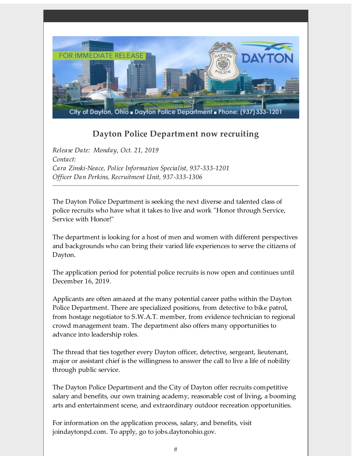

## **Dayton Police Department now recruiting**

*Release Date: Monday, Oct. 21, 2019 Contact: Cara Zinski-Neace, Police Information Specialist, 937-333-1201 Officer Dan Perkins, Recruitment Unit, 937-333-1306*

The Dayton Police Department is seeking the next diverse and talented class of police recruits who have what it takes to live and work "Honor through Service, Service with Honor!"

The department is looking for a host of men and women with different perspectives and backgrounds who can bring their varied life experiences to serve the citizens of Dayton.

The application period for potential police recruits is now open and continues until December 16, 2019.

Applicants are often amazed at the many potential career paths within the Dayton Police Department. There are specialized positions, from detective to bike patrol, from hostage negotiator to S.W.A.T. member, from evidence technician to regional crowd management team. The department also offers many opportunities to advance into leadership roles.

The thread that ties together every Dayton officer, detective, sergeant, lieutenant, major or assistant chief is the willingness to answer the call to live a life of nobility through public service.

The Dayton Police Department and the City of Dayton offer recruits competitive salary and benefits, our own training academy, reasonable cost of living, a booming arts and entertainment scene, and extraordinary outdoor recreation opportunities.

For information on the application process, salary, and benefits, visit joindaytonpd.com. To apply, go to jobs.daytonohio.gov.